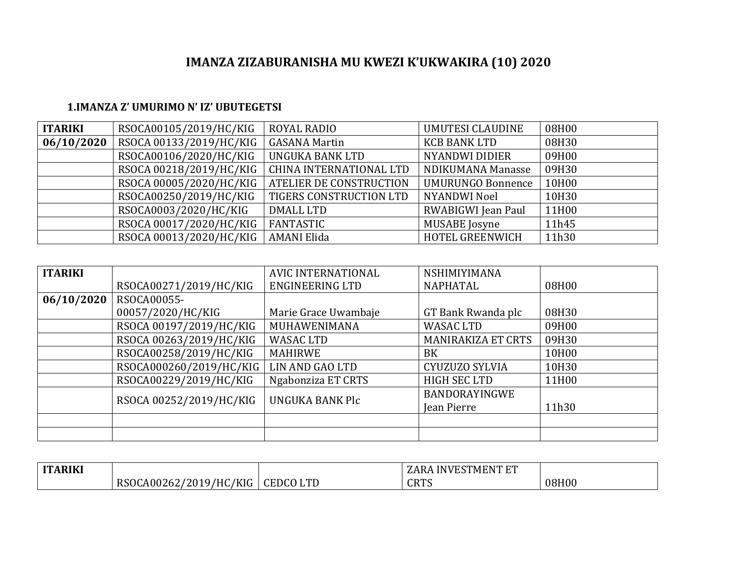## **IMANZA ZIZABURANISHA MU KWEZI K'UKWAKIRA (10) 2020**

## **1.IMANZA Z' UMURIMO N' IZ' UBUTEGETSI**

| <b>ITARIKI</b> | RSOCA00105/2019/HC/KIG  | <b>ROYAL RADIO</b>             | <b>UMUTESI CLAUDINE</b>  | 08H00 |
|----------------|-------------------------|--------------------------------|--------------------------|-------|
| 06/10/2020     | RSOCA 00133/2019/HC/KIG | <b>GASANA Martin</b>           | <b>KCB BANK LTD</b>      | 08H30 |
|                | RSOCA00106/2020/HC/KIG  | UNGUKA BANK LTD                | <b>NYANDWI DIDIER</b>    | 09H00 |
|                | RSOCA 00218/2019/HC/KIG | CHINA INTERNATIONAL LTD        | NDIKUMANA Manasse        | 09H30 |
|                | RSOCA 00005/2020/HC/KIG | <b>ATELIER DE CONSTRUCTION</b> | <b>UMURUNGO Bonnence</b> | 10H00 |
|                | RSOCA00250/2019/HC/KIG  | TIGERS CONSTRUCTION LTD        | <b>NYANDWI Noel</b>      | 10H30 |
|                | RSOCA0003/2020/HC/KIG   | DMALL LTD                      | RWABIGWI Jean Paul       | 11H00 |
|                | RSOCA 00017/2020/HC/KIG | FANTASTIC                      | <b>MUSABE</b> Josyne     | 11h45 |
|                | RSOCA 00013/2020/HC/KIG | <b>AMANI Elida</b>             | HOTEL GREENWICH          | 11h30 |

| <b>ITARIKI</b> |                         | AVIC INTERNATIONAL   | <b>NSHIMIYIMANA</b>       |       |
|----------------|-------------------------|----------------------|---------------------------|-------|
|                | RSOCA00271/2019/HC/KIG  | ENGINEERING LTD      | <b>NAPHATAL</b>           | 08H00 |
| 06/10/2020     | RSOCA00055-             |                      |                           |       |
|                | 00057/2020/HC/KIG       | Marie Grace Uwambaje | GT Bank Rwanda plc        | 08H30 |
|                | RSOCA 00197/2019/HC/KIG | MUHAWENIMANA         | <b>WASAC LTD</b>          | 09H00 |
|                | RSOCA 00263/2019/HC/KIG | <b>WASAC LTD</b>     | <b>MANIRAKIZA ET CRTS</b> | 09H30 |
|                | RSOCA00258/2019/HC/KIG  | <b>MAHIRWE</b>       | BK                        | 10H00 |
|                | RSOCA000260/2019/HC/KIG | LIN AND GAO LTD      | CYUZUZO SYLVIA            | 10H30 |
|                | RSOCA00229/2019/HC/KIG  | Ngabonziza ET CRTS   | <b>HIGH SEC LTD</b>       | 11H00 |
|                |                         | UNGUKA BANK Plc      | BANDORAYINGWE             |       |
|                | RSOCA 00252/2019/HC/KIG |                      | Jean Pierre               | 11h30 |
|                |                         |                      |                           |       |
|                |                         |                      |                           |       |

| <b>ITARIKI</b> |                        |                 | LARA INVESTMENT FT |       |
|----------------|------------------------|-----------------|--------------------|-------|
|                | RSOCA00262/2019/HC/KIG | <b>CEDCOLTD</b> | <b>CRTS</b>        | 08H00 |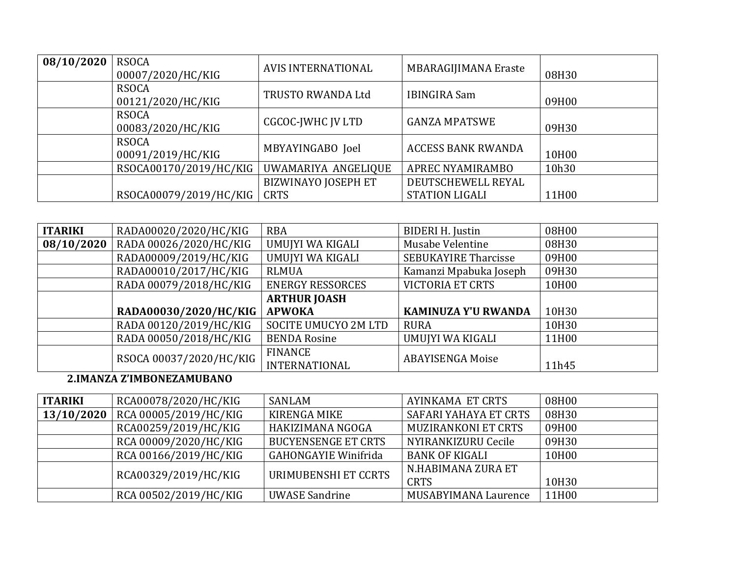| 08/10/2020 | <b>RSOCA</b><br>00007/2020/HC/KIG | <b>AVIS INTERNATIONAL</b> | <b>MBARAGIJIMANA Eraste</b> | 08H30 |
|------------|-----------------------------------|---------------------------|-----------------------------|-------|
|            | <b>RSOCA</b><br>00121/2020/HC/KIG | TRUSTO RWANDA Ltd         | <b>IBINGIRA Sam</b>         | 09H00 |
|            | <b>RSOCA</b><br>00083/2020/HC/KIG | <b>CGCOC-JWHC JV LTD</b>  | <b>GANZA MPATSWE</b>        | 09H30 |
|            | <b>RSOCA</b><br>00091/2019/HC/KIG | MBYAYINGABO Joel          | <b>ACCESS BANK RWANDA</b>   | 10H00 |
|            | RSOCA00170/2019/HC/KIG            | UWAMARIYA ANGELIQUE       | APREC NYAMIRAMBO            | 10h30 |
|            |                                   | BIZWINAYO JOSEPH ET       | DEUTSCHEWELL REYAL          |       |
|            | RSOCA00079/2019/HC/KIG            | <b>CRTS</b>               | <b>STATION LIGALI</b>       | 11H00 |

| <b>ITARIKI</b> | RADA00020/2020/HC/KIG   | <b>RBA</b>                             | <b>BIDERI H. Justin</b>     | 08H00 |
|----------------|-------------------------|----------------------------------------|-----------------------------|-------|
| 08/10/2020     | RADA 00026/2020/HC/KIG  | UMUJYI WA KIGALI                       | Musabe Velentine            | 08H30 |
|                | RADA00009/2019/HC/KIG   | UMUJYI WA KIGALI                       | <b>SEBUKAYIRE Tharcisse</b> | 09H00 |
|                | RADA00010/2017/HC/KIG   | <b>RLMUA</b>                           | Kamanzi Mpabuka Joseph      | 09H30 |
|                | RADA 00079/2018/HC/KIG  | <b>ENERGY RESSORCES</b>                | <b>VICTORIA ET CRTS</b>     | 10H00 |
|                |                         | <b>ARTHUR JOASH</b>                    |                             |       |
|                | RADA00030/2020/HC/KIG   | <b>APWOKA</b>                          | <b>KAMINUZA Y'U RWANDA</b>  | 10H30 |
|                | RADA 00120/2019/HC/KIG  | SOCITE UMUCYO 2M LTD                   | <b>RURA</b>                 | 10H30 |
|                | RADA 00050/2018/HC/KIG  | <b>BENDA Rosine</b>                    | UMUJYI WA KIGALI            | 11H00 |
|                | RSOCA 00037/2020/HC/KIG | <b>FINANCE</b><br><b>INTERNATIONAL</b> | <b>ABAYISENGA Moise</b>     | 11h45 |

## 2.IMANZA Z'IMBONEZAMUBANO

| <b>ITARIKI</b> | RCA00078/2020/HC/KIG  | SANLAM                      | AYINKAMA ET CRTS           | 08H00              |
|----------------|-----------------------|-----------------------------|----------------------------|--------------------|
| 13/10/2020     | RCA 00005/2019/HC/KIG | <b>KIRENGA MIKE</b>         | SAFARI YAHAYA ET CRTS      | 08H30              |
|                | RCA00259/2019/HC/KIG  | HAKIZIMANA NGOGA            | <b>MUZIRANKONI ET CRTS</b> | 09H00              |
|                | RCA 00009/2020/HC/KIG | <b>BUCYENSENGE ET CRTS</b>  | NYIRANKIZURU Cecile        | 09H30              |
|                | RCA 00166/2019/HC/KIG | <b>GAHONGAYIE Winifrida</b> | <b>BANK OF KIGALI</b>      | 10H <sub>0</sub> 0 |
|                |                       | URIMUBENSHI ET CCRTS        | N.HABIMANA ZURA ET         |                    |
|                | RCA00329/2019/HC/KIG  |                             | <b>CRTS</b>                | 10H30              |
|                | RCA 00502/2019/HC/KIG | <b>UWASE Sandrine</b>       | MUSABYIMANA Laurence       | 11H00              |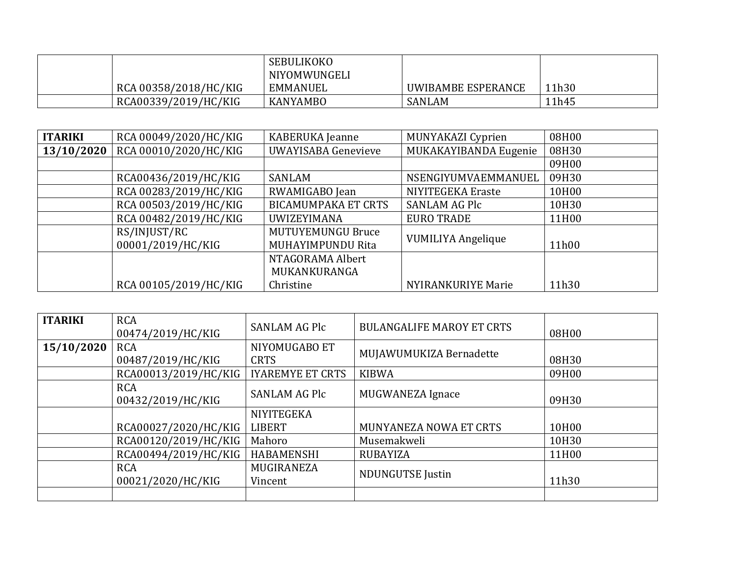|                       | <b>SEBULIKOKO</b><br>NIYOMWUNGELI |                    |       |
|-----------------------|-----------------------------------|--------------------|-------|
| RCA 00358/2018/HC/KIG | EMMANUEL                          | UWIBAMBE ESPERANCE | 11h30 |
| RCA00339/2019/HC/KIG  | <b>KANYAMBO</b>                   | SANLAM             | 11h45 |

| <b>ITARIKI</b> | RCA 00049/2020/HC/KIG             | KABERUKA Jeanne                               | MUNYAKAZI Cyprien         | 08H00 |
|----------------|-----------------------------------|-----------------------------------------------|---------------------------|-------|
| 13/10/2020     | RCA 00010/2020/HC/KIG             | <b>UWAYISABA Genevieve</b>                    | MUKAKAYIBANDA Eugenie     | 08H30 |
|                |                                   |                                               |                           | 09H00 |
|                | RCA00436/2019/HC/KIG              | SANLAM                                        | NSENGIYUMVAEMMANUEL       | 09H30 |
|                | RCA 00283/2019/HC/KIG             | RWAMIGABO Jean                                | NIYITEGEKA Eraste         | 10H00 |
|                | RCA 00503/2019/HC/KIG             | <b>BICAMUMPAKA ET CRTS</b>                    | <b>SANLAM AG Plc</b>      | 10H30 |
|                | RCA 00482/2019/HC/KIG             | <b>UWIZEYIMANA</b>                            | <b>EURO TRADE</b>         | 11H00 |
|                | RS/INJUST/RC<br>00001/2019/HC/KIG | <b>MUTUYEMUNGU Bruce</b><br>MUHAYIMPUNDU Rita | VUMILIYA Angelique        | 11h00 |
|                |                                   | NTAGORAMA Albert<br>MUKANKURANGA              |                           |       |
|                | RCA 00105/2019/HC/KIG             | Christine                                     | <b>NYIRANKURIYE Marie</b> | 11h30 |

| <b>ITARIKI</b> | <b>RCA</b><br>00474/2019/HC/KIG | <b>SANLAM AG Plc</b>         | <b>BULANGALIFE MAROY ET CRTS</b> | 08H00 |
|----------------|---------------------------------|------------------------------|----------------------------------|-------|
| 15/10/2020     | <b>RCA</b><br>00487/2019/HC/KIG | NIYOMUGABO ET<br><b>CRTS</b> | MUJAWUMUKIZA Bernadette          | 08H30 |
|                | RCA00013/2019/HC/KIG            | <b>IYAREMYE ET CRTS</b>      | <b>KIBWA</b>                     | 09H00 |
|                | <b>RCA</b><br>00432/2019/HC/KIG | <b>SANLAM AG Plc</b>         | MUGWANEZA Ignace                 | 09H30 |
|                |                                 | <b>NIYITEGEKA</b>            |                                  |       |
|                | RCA00027/2020/HC/KIG            | <b>LIBERT</b>                | MUNYANEZA NOWA ET CRTS           | 10H00 |
|                | RCA00120/2019/HC/KIG            | Mahoro                       | Musemakweli                      | 10H30 |
|                | RCA00494/2019/HC/KIG            | <b>HABAMENSHI</b>            | <b>RUBAYIZA</b>                  | 11H00 |
|                | <b>RCA</b><br>00021/2020/HC/KIG | MUGIRANEZA<br>Vincent        | <b>NDUNGUTSE Justin</b>          | 11h30 |
|                |                                 |                              |                                  |       |